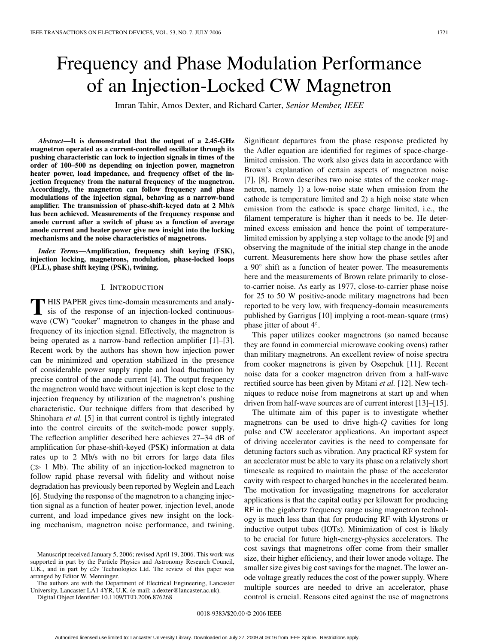# Frequency and Phase Modulation Performance of an Injection-Locked CW Magnetron

Imran Tahir, Amos Dexter, and Richard Carter, *Senior Member, IEEE*

*Abstract***—It is demonstrated that the output of a 2.45-GHz magnetron operated as a current-controlled oscillator through its pushing characteristic can lock to injection signals in times of the order of 100–500 ns depending on injection power, magnetron heater power, load impedance, and frequency offset of the injection frequency from the natural frequency of the magnetron. Accordingly, the magnetron can follow frequency and phase modulations of the injection signal, behaving as a narrow-band amplifier. The transmission of phase-shift-keyed data at 2 Mb/s has been achieved. Measurements of the frequency response and anode current after a switch of phase as a function of average anode current and heater power give new insight into the locking mechanisms and the noise characteristics of magnetrons.**

*Index Terms***—Amplification, frequency shift keying (FSK), injection locking, magnetrons, modulation, phase-locked loops (PLL), phase shift keying (PSK), twining.**

## I. INTRODUCTION

**T** HIS PAPER gives time-domain measurements and analy-<br>sis of the response of an injection-locked continuouswave (CW) "cooker" magnetron to changes in the phase and frequency of its injection signal. Effectively, the magnetron is being operated as a narrow-band reflection amplifier [1]–[3]. Recent work by the authors has shown how injection power can be minimized and operation stabilized in the presence of considerable power supply ripple and load fluctuation by precise control of the anode current [4]. The output frequency the magnetron would have without injection is kept close to the injection frequency by utilization of the magnetron's pushing characteristic. Our technique differs from that described by Shinohara *et al.* [5] in that current control is tightly integrated into the control circuits of the switch-mode power supply. The reflection amplifier described here achieves 27–34 dB of amplification for phase-shift-keyed (PSK) information at data rates up to 2 Mb/s with no bit errors for large data files  $(\gg 1)$  Mb). The ability of an injection-locked magnetron to follow rapid phase reversal with fidelity and without noise degradation has previously been reported by Weglein and Leach [6]. Studying the response of the magnetron to a changing injection signal as a function of heater power, injection level, anode current, and load impedance gives new insight on the locking mechanism, magnetron noise performance, and twining.

The authors are with the Department of Electrical Engineering, Lancaster University, Lancaster LA1 4YR, U.K. (e-mail: a.dexter@lancaster.ac.uk).

Digital Object Identifier 10.1109/TED.2006.876268

Significant departures from the phase response predicted by the Adler equation are identified for regimes of space-chargelimited emission. The work also gives data in accordance with Brown's explanation of certain aspects of magnetron noise [7], [8]. Brown describes two noise states of the cooker magnetron, namely 1) a low-noise state when emission from the cathode is temperature limited and 2) a high noise state when emission from the cathode is space charge limited, i.e., the filament temperature is higher than it needs to be. He determined excess emission and hence the point of temperaturelimited emission by applying a step voltage to the anode [9] and observing the magnitude of the initial step change in the anode current. Measurements here show how the phase settles after a 90◦ shift as a function of heater power. The measurements here and the measurements of Brown relate primarily to closeto-carrier noise. As early as 1977, close-to-carrier phase noise for 25 to 50 W positive-anode military magnetrons had been reported to be very low, with frequency-domain measurements published by Garrigus [10] implying a root-mean-square (rms) phase jitter of about 4◦.

This paper utilizes cooker magnetrons (so named because they are found in commercial microwave cooking ovens) rather than military magnetrons. An excellent review of noise spectra from cooker magnetrons is given by Osepchuk [11]. Recent noise data for a cooker magnetron driven from a half-wave rectified source has been given by Mitani *et al.* [12]. New techniques to reduce noise from magnetrons at start up and when driven from half-wave sources are of current interest [13]–[15].

The ultimate aim of this paper is to investigate whether magnetrons can be used to drive high- $Q$  cavities for long pulse and CW accelerator applications. An important aspect of driving accelerator cavities is the need to compensate for detuning factors such as vibration. Any practical RF system for an accelerator must be able to vary its phase on a relatively short timescale as required to maintain the phase of the accelerator cavity with respect to charged bunches in the accelerated beam. The motivation for investigating magnetrons for accelerator applications is that the capital outlay per kilowatt for producing RF in the gigahertz frequency range using magnetron technology is much less than that for producing RF with klystrons or inductive output tubes (IOTs). Minimization of cost is likely to be crucial for future high-energy-physics accelerators. The cost savings that magnetrons offer come from their smaller size, their higher efficiency, and their lower anode voltage. The smaller size gives big cost savings for the magnet. The lower anode voltage greatly reduces the cost of the power supply. Where multiple sources are needed to drive an accelerator, phase control is crucial. Reasons cited against the use of magnetrons

Manuscript received January 5, 2006; revised April 19, 2006. This work was supported in part by the Particle Physics and Astronomy Research Council, U.K., and in part by e2v Technologies Ltd. The review of this paper was arranged by Editor W. Menninger.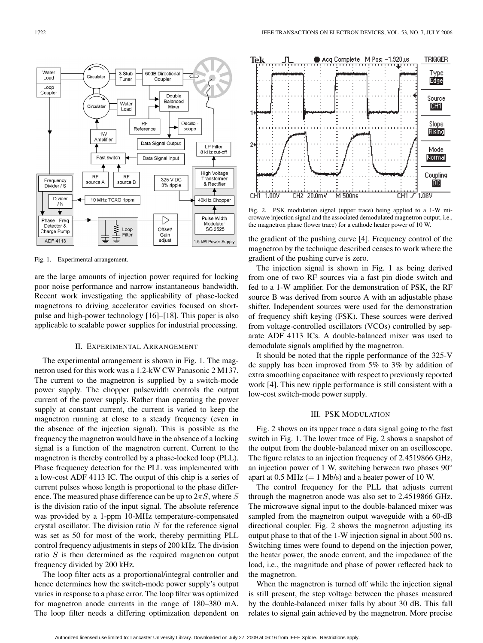1722 IEEE TRANSACTIONS ON ELECTRON DEVICES, VOL. 53, NO. 7, JULY 2006



Fig. 1. Experimental arrangement.

are the large amounts of injection power required for locking poor noise performance and narrow instantaneous bandwidth. Recent work investigating the applicability of phase-locked magnetrons to driving accelerator cavities focused on shortpulse and high-power technology [16]–[18]. This paper is also applicable to scalable power supplies for industrial processing.

## II. EXPERIMENTAL ARRANGEMENT

The experimental arrangement is shown in Fig. 1. The magnetron used for this work was a 1.2-kW CW Panasonic 2 M137. The current to the magnetron is supplied by a switch-mode power supply. The chopper pulsewidth controls the output current of the power supply. Rather than operating the power supply at constant current, the current is varied to keep the magnetron running at close to a steady frequency (even in the absence of the injection signal). This is possible as the frequency the magnetron would have in the absence of a locking signal is a function of the magnetron current. Current to the magnetron is thereby controlled by a phase-locked loop (PLL). Phase frequency detection for the PLL was implemented with a low-cost ADF 4113 IC. The output of this chip is a series of current pulses whose length is proportional to the phase difference. The measured phase difference can be up to  $2\pi S$ , where S is the division ratio of the input signal. The absolute reference was provided by a 1-ppm 10-MHz temperature-compensated crystal oscillator. The division ratio  $N$  for the reference signal was set as 50 for most of the work, thereby permitting PLL control frequency adjustments in steps of 200 kHz. The division ratio S is then determined as the required magnetron output frequency divided by 200 kHz.

The loop filter acts as a proportional/integral controller and hence determines how the switch-mode power supply's output varies in response to a phase error. The loop filter was optimized for magnetron anode currents in the range of 180–380 mA. The loop filter needs a differing optimization dependent on



Fig. 2. PSK modulation signal (upper trace) being applied to a 1-W microwave injection signal and the associated demodulated magnetron output, i.e., the magnetron phase (lower trace) for a cathode heater power of 10 W.

the gradient of the pushing curve [4]. Frequency control of the magnetron by the technique described ceases to work where the gradient of the pushing curve is zero.

The injection signal is shown in Fig. 1 as being derived from one of two RF sources via a fast pin diode switch and fed to a 1-W amplifier. For the demonstration of PSK, the RF source B was derived from source A with an adjustable phase shifter. Independent sources were used for the demonstration of frequency shift keying (FSK). These sources were derived from voltage-controlled oscillators (VCOs) controlled by separate ADF 4113 ICs. A double-balanced mixer was used to demodulate signals amplified by the magnetron.

It should be noted that the ripple performance of the 325-V dc supply has been improved from 5% to 3% by addition of extra smoothing capacitance with respect to previously reported work [4]. This new ripple performance is still consistent with a low-cost switch-mode power supply.

# III. PSK MODULATION

Fig. 2 shows on its upper trace a data signal going to the fast switch in Fig. 1. The lower trace of Fig. 2 shows a snapshot of the output from the double-balanced mixer on an oscilloscope. The figure relates to an injection frequency of 2.4519866 GHz, an injection power of 1 W, switching between two phases 90◦ apart at  $0.5$  MHz (= 1 Mb/s) and a heater power of 10 W.

The control frequency for the PLL that adjusts current through the magnetron anode was also set to 2.4519866 GHz. The microwave signal input to the double-balanced mixer was sampled from the magnetron output waveguide with a 60-dB directional coupler. Fig. 2 shows the magnetron adjusting its output phase to that of the 1-W injection signal in about 500 ns. Switching times were found to depend on the injection power, the heater power, the anode current, and the impedance of the load, i.e., the magnitude and phase of power reflected back to the magnetron.

When the magnetron is turned off while the injection signal is still present, the step voltage between the phases measured by the double-balanced mixer falls by about 30 dB. This fall relates to signal gain achieved by the magnetron. More precise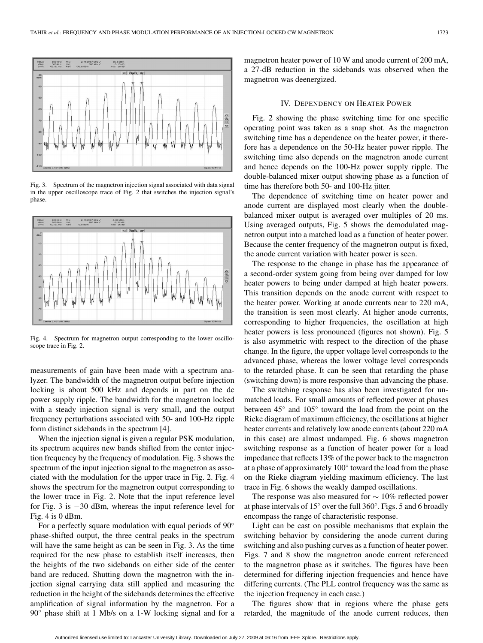

Fig. 3. Spectrum of the magnetron injection signal associated with data signal in the upper oscilloscope trace of Fig. 2 that switches the injection signal's phase.



Fig. 4. Spectrum for magnetron output corresponding to the lower oscilloscope trace in Fig. 2.

measurements of gain have been made with a spectrum analyzer. The bandwidth of the magnetron output before injection locking is about 500 kHz and depends in part on the dc power supply ripple. The bandwidth for the magnetron locked with a steady injection signal is very small, and the output frequency perturbations associated with 50- and 100-Hz ripple form distinct sidebands in the spectrum [4].

When the injection signal is given a regular PSK modulation, its spectrum acquires new bands shifted from the center injection frequency by the frequency of modulation. Fig. 3 shows the spectrum of the input injection signal to the magnetron as associated with the modulation for the upper trace in Fig. 2. Fig. 4 shows the spectrum for the magnetron output corresponding to the lower trace in Fig. 2. Note that the input reference level for Fig. 3 is −30 dBm, whereas the input reference level for Fig. 4 is 0 dBm.

For a perfectly square modulation with equal periods of 90<sup>°</sup> phase-shifted output, the three central peaks in the spectrum will have the same height as can be seen in Fig. 3. As the time required for the new phase to establish itself increases, then the heights of the two sidebands on either side of the center band are reduced. Shutting down the magnetron with the injection signal carrying data still applied and measuring the reduction in the height of the sidebands determines the effective amplification of signal information by the magnetron. For a 90◦ phase shift at 1 Mb/s on a 1-W locking signal and for a magnetron heater power of 10 W and anode current of 200 mA, a 27-dB reduction in the sidebands was observed when the magnetron was deenergized.

#### IV. DEPENDENCY ON HEATER POWER

Fig. 2 showing the phase switching time for one specific operating point was taken as a snap shot. As the magnetron switching time has a dependence on the heater power, it therefore has a dependence on the 50-Hz heater power ripple. The switching time also depends on the magnetron anode current and hence depends on the 100-Hz power supply ripple. The double-balanced mixer output showing phase as a function of time has therefore both 50- and 100-Hz jitter.

The dependence of switching time on heater power and anode current are displayed most clearly when the doublebalanced mixer output is averaged over multiples of 20 ms. Using averaged outputs, Fig. 5 shows the demodulated magnetron output into a matched load as a function of heater power. Because the center frequency of the magnetron output is fixed, the anode current variation with heater power is seen.

The response to the change in phase has the appearance of a second-order system going from being over damped for low heater powers to being under damped at high heater powers. This transition depends on the anode current with respect to the heater power. Working at anode currents near to 220 mA, the transition is seen most clearly. At higher anode currents, corresponding to higher frequencies, the oscillation at high heater powers is less pronounced (figures not shown). Fig. 5 is also asymmetric with respect to the direction of the phase change. In the figure, the upper voltage level corresponds to the advanced phase, whereas the lower voltage level corresponds to the retarded phase. It can be seen that retarding the phase (switching down) is more responsive than advancing the phase.

The switching response has also been investigated for unmatched loads. For small amounts of reflected power at phases between 45◦ and 105◦ toward the load from the point on the Rieke diagram of maximum efficiency, the oscillations at higher heater currents and relatively low anode currents (about 220 mA in this case) are almost undamped. Fig. 6 shows magnetron switching response as a function of heater power for a load impedance that reflects 13% of the power back to the magnetron at a phase of approximately 100◦ toward the load from the phase on the Rieke diagram yielding maximum efficiency. The last trace in Fig. 6 shows the weakly damped oscillations.

The response was also measured for  $\sim 10\%$  reflected power at phase intervals of 15◦ over the full 360◦. Figs. 5 and 6 broadly encompass the range of characteristic response.

Light can be cast on possible mechanisms that explain the switching behavior by considering the anode current during switching and also pushing curves as a function of heater power. Figs. 7 and 8 show the magnetron anode current referenced to the magnetron phase as it switches. The figures have been determined for differing injection frequencies and hence have differing currents. (The PLL control frequency was the same as the injection frequency in each case.)

The figures show that in regions where the phase gets retarded, the magnitude of the anode current reduces, then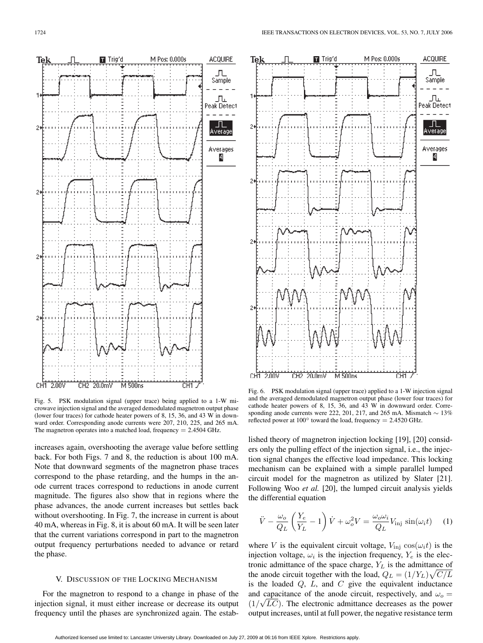

Fig. 5. PSK modulation signal (upper trace) being applied to a 1-W microwave injection signal and the averaged demodulated magnetron output phase (lower four traces) for cathode heater powers of 8, 15, 36, and 43 W in downward order. Corresponding anode currents were 207, 210, 225, and 265 mA. The magnetron operates into a matched load, frequency  $= 2.4504$  GHz.

increases again, overshooting the average value before settling back. For both Figs. 7 and 8, the reduction is about 100 mA. Note that downward segments of the magnetron phase traces correspond to the phase retarding, and the humps in the anode current traces correspond to reductions in anode current magnitude. The figures also show that in regions where the phase advances, the anode current increases but settles back without overshooting. In Fig. 7, the increase in current is about 40 mA, whereas in Fig. 8, it is about 60 mA. It will be seen later that the current variations correspond in part to the magnetron output frequency perturbations needed to advance or retard the phase.

# V. DISCUSSION OF THE LOCKING MECHANISM

For the magnetron to respond to a change in phase of the injection signal, it must either increase or decrease its output frequency until the phases are synchronized again. The estab-



Fig. 6. PSK modulation signal (upper trace) applied to a 1-W injection signal and the averaged demodulated magnetron output phase (lower four traces) for cathode heater powers of 8, 15, 36, and 43 W in downward order. Corresponding anode currents were 222, 201, 217, and 265 mA. Mismatch ~ 13% reflected power at 100◦ toward the load, frequency = 2.4520 GHz.

lished theory of magnetron injection locking [19], [20] considers only the pulling effect of the injection signal, i.e., the injection signal changes the effective load impedance. This locking mechanism can be explained with a simple parallel lumped circuit model for the magnetron as utilized by Slater [21]. Following Woo *et al.* [20], the lumped circuit analysis yields the differential equation

$$
\ddot{V} - \frac{\omega_o}{Q_L} \left( \frac{Y_e}{Y_L} - 1 \right) \dot{V} + \omega_o^2 V = \frac{\omega_o \omega_i}{Q_L} V_{\text{inj}} \sin(\omega_i t) \quad (1)
$$

where V is the equivalent circuit voltage,  $V_{\text{ini}} \cos(\omega_i t)$  is the injection voltage,  $\omega_i$  is the injection frequency,  $Y_e$  is the electronic admittance of the space charge,  $Y_L$  is the admittance of the anode circuit together with the load,  $Q_L = (1/Y_L)\sqrt{C/L}$ is the loaded  $Q$ ,  $L$ , and  $C$  give the equivalent inductance and capacitance of the anode circuit, respectively, and  $\omega_o =$  $(1/\sqrt{LC})$ . The electronic admittance decreases as the power output increases, until at full power, the negative resistance term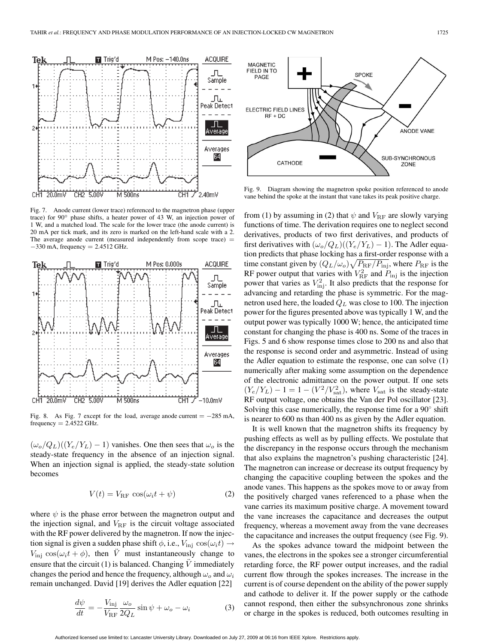

Fig. 7. Anode current (lower trace) referenced to the magnetron phase (upper trace) for 90◦ phase shifts, a heater power of 43 W, an injection power of 1 W, and a matched load. The scale for the lower trace (the anode current) is 20 mA per tick mark, and its zero is marked on the left-hand scale with a 2. The average anode current (measured independently from scope trace) = −330 mA, frequency = 2.4512 GHz.



Fig. 8. As Fig. 7 except for the load, average anode current  $= -285$  mA,  $frequency = 2.4522 \text{ GHz}.$ 

 $(\omega_o/Q_L)((Y_e/Y_L) - 1)$  vanishes. One then sees that  $\omega_o$  is the steady-state frequency in the absence of an injection signal. When an injection signal is applied, the steady-state solution becomes

$$
V(t) = V_{\rm RF} \cos(\omega_i t + \psi)
$$
 (2)

where  $\psi$  is the phase error between the magnetron output and the injection signal, and  $V_{\rm RF}$  is the circuit voltage associated with the RF power delivered by the magnetron. If now the injection signal is given a sudden phase shift  $\phi$ , i.e.,  $V_{\text{inj}} \cos(\omega_i t) \rightarrow$  $V_{\text{ini}} \cos(\omega_i t + \phi)$ , then  $\ddot{V}$  must instantaneously change to ensure that the circuit  $(1)$  is balanced. Changing V immediately changes the period and hence the frequency, although  $\omega_o$  and  $\omega_i$ remain unchanged. David [19] derives the Adler equation [22]

$$
\frac{d\psi}{dt} = -\frac{V_{\text{inj}}}{V_{\text{RF}}} \frac{\omega_o}{2Q_L} \sin \psi + \omega_o - \omega_i \tag{3}
$$



Fig. 9. Diagram showing the magnetron spoke position referenced to anode vane behind the spoke at the instant that vane takes its peak positive charge.

from (1) by assuming in (2) that  $\psi$  and  $V_{\text{RF}}$  are slowly varying functions of time. The derivation requires one to neglect second derivatives, products of two first derivatives, and products of first derivatives with  $(\omega_o/Q_L)((Y_e/Y_L) - 1)$ . The Adler equation predicts that phase locking has a first-order response with a time constant given by  $(Q_L/\omega_o)\sqrt{P_{\rm RF}/P_{\rm inj}}$ , where  $P_{\rm RF}$  is the RF power output that varies with  $V_{\text{RF}}^2$  and  $P_{\text{inj}}$  is the injection power that varies as  $V_{\text{inj}}^2$ . It also predicts that the response for advancing and retarding the phase is symmetric. For the magnetron used here, the loaded  $Q_L$  was close to 100. The injection power for the figures presented above was typically 1 W, and the output power was typically 1000 W; hence, the anticipated time constant for changing the phase is 400 ns. Some of the traces in Figs. 5 and 6 show response times close to 200 ns and also that the response is second order and asymmetric. Instead of using the Adler equation to estimate the response, one can solve (1) numerically after making some assumption on the dependence of the electronic admittance on the power output. If one sets  $(Y_e/Y_L) - 1 = 1 - (V^2/V_{\text{sat}}^2)$ , where  $V_{\text{sat}}$  is the steady-state RF output voltage, one obtains the Van der Pol oscillator [23]. Solving this case numerically, the response time for a  $90^\circ$  shift is nearer to 600 ns than 400 ns as given by the Adler equation.

It is well known that the magnetron shifts its frequency by pushing effects as well as by pulling effects. We postulate that the discrepancy in the response occurs through the mechanism that also explains the magnetron's pushing characteristic [24]. The magnetron can increase or decrease its output frequency by changing the capacitive coupling between the spokes and the anode vanes. This happens as the spokes move to or away from the positively charged vanes referenced to a phase when the vane carries its maximum positive charge. A movement toward the vane increases the capacitance and decreases the output frequency, whereas a movement away from the vane decreases the capacitance and increases the output frequency (see Fig. 9).

As the spokes advance toward the midpoint between the vanes, the electrons in the spokes see a stronger circumferential retarding force, the RF power output increases, and the radial current flow through the spokes increases. The increase in the current is of course dependent on the ability of the power supply and cathode to deliver it. If the power supply or the cathode cannot respond, then either the subsynchronous zone shrinks or charge in the spokes is reduced, both outcomes resulting in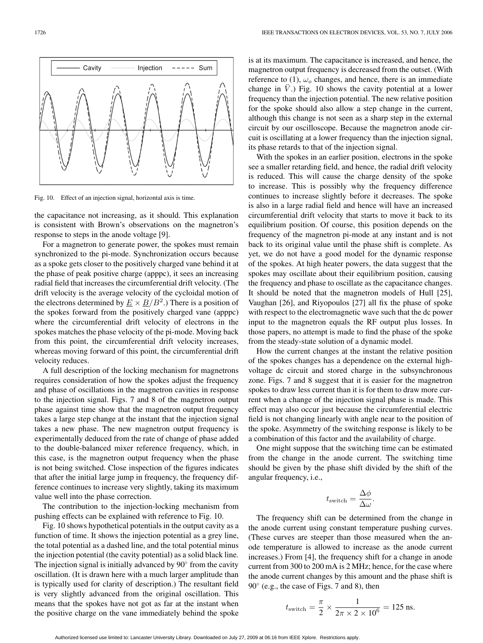

Fig. 10. Effect of an injection signal, horizontal axis is time.

the capacitance not increasing, as it should. This explanation is consistent with Brown's observations on the magnetron's response to steps in the anode voltage [9].

For a magnetron to generate power, the spokes must remain synchronized to the pi-mode. Synchronization occurs because as a spoke gets closer to the positively charged vane behind it at the phase of peak positive charge (apppc), it sees an increasing radial field that increases the circumferential drift velocity. (The drift velocity is the average velocity of the cycloidal motion of the electrons determined by  $\underline{E} \times \underline{B}/B^2$ .) There is a position of the spokes forward from the positively charged vane (apppc) where the circumferential drift velocity of electrons in the spokes matches the phase velocity of the pi-mode. Moving back from this point, the circumferential drift velocity increases, whereas moving forward of this point, the circumferential drift velocity reduces.

A full description of the locking mechanism for magnetrons requires consideration of how the spokes adjust the frequency and phase of oscillations in the magnetron cavities in response to the injection signal. Figs. 7 and 8 of the magnetron output phase against time show that the magnetron output frequency takes a large step change at the instant that the injection signal takes a new phase. The new magnetron output frequency is experimentally deduced from the rate of change of phase added to the double-balanced mixer reference frequency, which, in this case, is the magnetron output frequency when the phase is not being switched. Close inspection of the figures indicates that after the initial large jump in frequency, the frequency difference continues to increase very slightly, taking its maximum value well into the phase correction.

The contribution to the injection-locking mechanism from pushing effects can be explained with reference to Fig. 10.

Fig. 10 shows hypothetical potentials in the output cavity as a function of time. It shows the injection potential as a grey line, the total potential as a dashed line, and the total potential minus the injection potential (the cavity potential) as a solid black line. The injection signal is initially advanced by 90◦ from the cavity oscillation. (It is drawn here with a much larger amplitude than is typically used for clarity of description.) The resultant field is very slightly advanced from the original oscillation. This means that the spokes have not got as far at the instant when the positive charge on the vane immediately behind the spoke is at its maximum. The capacitance is increased, and hence, the magnetron output frequency is decreased from the outset. (With reference to (1),  $\omega_o$  changes, and hence, there is an immediate change in  $V$ .) Fig. 10 shows the cavity potential at a lower frequency than the injection potential. The new relative position for the spoke should also allow a step change in the current, although this change is not seen as a sharp step in the external circuit by our oscilloscope. Because the magnetron anode circuit is oscillating at a lower frequency than the injection signal, its phase retards to that of the injection signal.

With the spokes in an earlier position, electrons in the spoke see a smaller retarding field, and hence, the radial drift velocity is reduced. This will cause the charge density of the spoke to increase. This is possibly why the frequency difference continues to increase slightly before it decreases. The spoke is also in a large radial field and hence will have an increased circumferential drift velocity that starts to move it back to its equilibrium position. Of course, this position depends on the frequency of the magnetron pi-mode at any instant and is not back to its original value until the phase shift is complete. As yet, we do not have a good model for the dynamic response of the spokes. At high heater powers, the data suggest that the spokes may oscillate about their equilibrium position, causing the frequency and phase to oscillate as the capacitance changes. It should be noted that the magnetron models of Hull [25], Vaughan [26], and Riyopoulos [27] all fix the phase of spoke with respect to the electromagnetic wave such that the dc power input to the magnetron equals the RF output plus losses. In those papers, no attempt is made to find the phase of the spoke from the steady-state solution of a dynamic model.

How the current changes at the instant the relative position of the spokes changes has a dependence on the external highvoltage dc circuit and stored charge in the subsynchronous zone. Figs. 7 and 8 suggest that it is easier for the magnetron spokes to draw less current than it is for them to draw more current when a change of the injection signal phase is made. This effect may also occur just because the circumferential electric field is not changing linearly with angle near to the position of the spoke. Asymmetry of the switching response is likely to be a combination of this factor and the availability of charge.

One might suppose that the switching time can be estimated from the change in the anode current. The switching time should be given by the phase shift divided by the shift of the angular frequency, i.e.,

$$
t_{\text{switch}} = \frac{\Delta\phi}{\Delta\omega}.
$$

The frequency shift can be determined from the change in the anode current using constant temperature pushing curves. (These curves are steeper than those measured when the anode temperature is allowed to increase as the anode current increases.) From [4], the frequency shift for a change in anode current from 300 to 200 mA is 2 MHz; hence, for the case where the anode current changes by this amount and the phase shift is  $90^\circ$  (e.g., the case of Figs. 7 and 8), then

$$
t_{\text{switch}} = \frac{\pi}{2} \times \frac{1}{2\pi \times 2 \times 10^6} = 125 \text{ ns}.
$$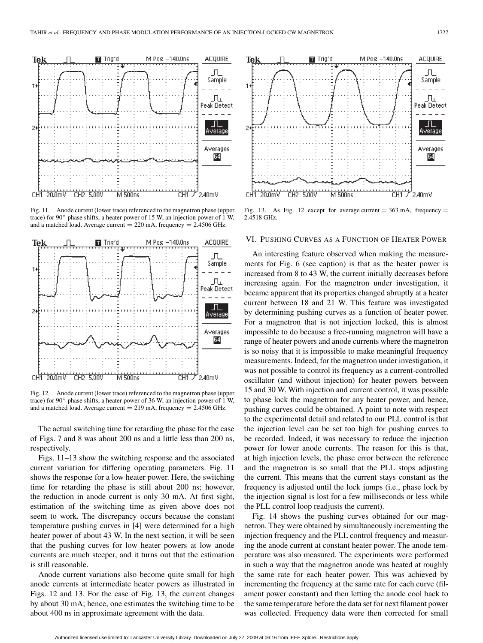

Fig. 11. Anode current (lower trace) referenced to the magnetron phase (upper trace) for 90◦ phase shifts, a heater power of 15 W, an injection power of 1 W, and a matched load. Average current  $= 220$  mA, frequency  $= 2.4506$  GHz.



Fig. 12. Anode current (lower trace) referenced to the magnetron phase (upper trace) for 90◦ phase shifts, a heater power of 36 W, an injection power of 1 W, and a matched load. Average current  $= 219$  mA, frequency  $= 2.4506$  GHz.

The actual switching time for retarding the phase for the case of Figs. 7 and 8 was about 200 ns and a little less than 200 ns, respectively.

Figs. 11–13 show the switching response and the associated current variation for differing operating parameters. Fig. 11 shows the response for a low heater power. Here, the switching time for retarding the phase is still about 200 ns; however, the reduction in anode current is only 30 mA. At first sight, estimation of the switching time as given above does not seem to work. The discrepancy occurs because the constant temperature pushing curves in [4] were determined for a high heater power of about 43 W. In the next section, it will be seen that the pushing curves for low heater powers at low anode currents are much steeper, and it turns out that the estimation is still reasonable.

Anode current variations also become quite small for high anode currents at intermediate heater powers as illustrated in Figs. 12 and 13. For the case of Fig. 13, the current changes by about 30 mA; hence, one estimates the switching time to be about 400 ns in approximate agreement with the data.



Fig. 13. As Fig. 12 except for average current  $= 363$  mA, frequency  $=$ 2.4518 GHz.

## VI. PUSHING CURVES AS A FUNCTION OF HEATER POWER

An interesting feature observed when making the measurements for Fig. 6 (see caption) is that as the heater power is increased from 8 to 43 W, the current initially decreases before increasing again. For the magnetron under investigation, it became apparent that its properties changed abruptly at a heater current between 18 and 21 W. This feature was investigated by determining pushing curves as a function of heater power. For a magnetron that is not injection locked, this is almost impossible to do because a free-running magnetron will have a range of heater powers and anode currents where the magnetron is so noisy that it is impossible to make meaningful frequency measurements. Indeed, for the magnetron under investigation, it was not possible to control its frequency as a current-controlled oscillator (and without injection) for heater powers between 15 and 30 W. With injection and current control, it was possible to phase lock the magnetron for any heater power, and hence, pushing curves could be obtained. A point to note with respect to the experimental detail and related to our PLL control is that the injection level can be set too high for pushing curves to be recorded. Indeed, it was necessary to reduce the injection power for lower anode currents. The reason for this is that, at high injection levels, the phase error between the reference and the magnetron is so small that the PLL stops adjusting the current. This means that the current stays constant as the frequency is adjusted until the lock jumps (i.e., phase lock by the injection signal is lost for a few milliseconds or less while the PLL control loop readjusts the current).

Fig. 14 shows the pushing curves obtained for our magnetron. They were obtained by simultaneously incrementing the injection frequency and the PLL control frequency and measuring the anode current at constant heater power. The anode temperature was also measured. The experiments were performed in such a way that the magnetron anode was heated at roughly the same rate for each heater power. This was achieved by incrementing the frequency at the same rate for each curve (filament power constant) and then letting the anode cool back to the same temperature before the data set for next filament power was collected. Frequency data were then corrected for small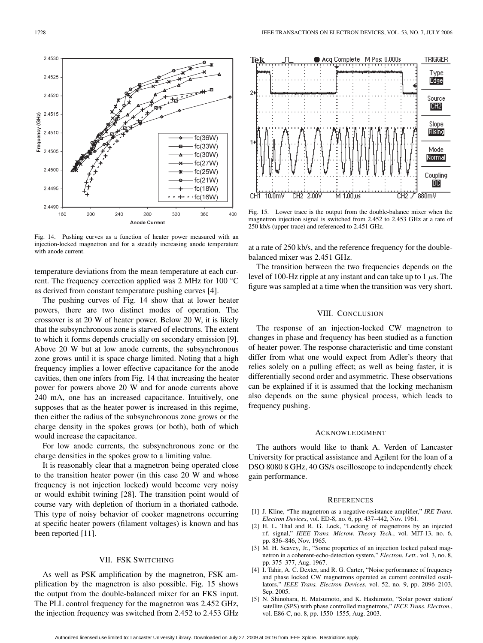

Fig. 14. Pushing curves as a function of heater power measured with an injection-locked magnetron and for a steadily increasing anode temperature with anode current.

temperature deviations from the mean temperature at each current. The frequency correction applied was 2 MHz for 100 ◦C as derived from constant temperature pushing curves [4].

The pushing curves of Fig. 14 show that at lower heater powers, there are two distinct modes of operation. The crossover is at 20 W of heater power. Below 20 W, it is likely that the subsynchronous zone is starved of electrons. The extent to which it forms depends crucially on secondary emission [9]. Above 20 W but at low anode currents, the subsynchronous zone grows until it is space charge limited. Noting that a high frequency implies a lower effective capacitance for the anode cavities, then one infers from Fig. 14 that increasing the heater power for powers above 20 W and for anode currents above 240 mA, one has an increased capacitance. Intuitively, one supposes that as the heater power is increased in this regime, then either the radius of the subsynchronous zone grows or the charge density in the spokes grows (or both), both of which would increase the capacitance.

For low anode currents, the subsynchronous zone or the charge densities in the spokes grow to a limiting value.

It is reasonably clear that a magnetron being operated close to the transition heater power (in this case 20 W and whose frequency is not injection locked) would become very noisy or would exhibit twining [28]. The transition point would of course vary with depletion of thorium in a thoriated cathode. This type of noisy behavior of cooker magnetrons occurring at specific heater powers (filament voltages) is known and has been reported [11].

## VII. FSK SWITCHING

As well as PSK amplification by the magnetron, FSK amplification by the magnetron is also possible. Fig. 15 shows the output from the double-balanced mixer for an FKS input. The PLL control frequency for the magnetron was 2.452 GHz, the injection frequency was switched from 2.452 to 2.453 GHz



Fig. 15. Lower trace is the output from the double-balance mixer when the magnetron injection signal is switched from 2.452 to 2.453 GHz at a rate of 250 kb/s (upper trace) and referenced to 2.451 GHz.

at a rate of 250 kb/s, and the reference frequency for the doublebalanced mixer was 2.451 GHz.

The transition between the two frequencies depends on the level of 100-Hz ripple at any instant and can take up to 1  $\mu$ s. The figure was sampled at a time when the transition was very short.

# VIII. CONCLUSION

The response of an injection-locked CW magnetron to changes in phase and frequency has been studied as a function of heater power. The response characteristic and time constant differ from what one would expect from Adler's theory that relies solely on a pulling effect; as well as being faster, it is differentially second order and asymmetric. These observations can be explained if it is assumed that the locking mechanism also depends on the same physical process, which leads to frequency pushing.

#### ACKNOWLEDGMENT

The authors would like to thank A. Verden of Lancaster University for practical assistance and Agilent for the loan of a DSO 8080 8 GHz, 40 GS/s oscilloscope to independently check gain performance.

## **REFERENCES**

- [1] J. Kline, "The magnetron as a negative-resistance amplifier," *IRE Trans. Electron Devices*, vol. ED-8, no. 6, pp. 437–442, Nov. 1961.
- [2] H. L. Thal and R. G. Lock, "Locking of magnetrons by an injected r.f. signal," *IEEE Trans. Microw. Theory Tech.*, vol. MIT-13, no. 6, pp. 836–846, Nov. 1965.
- [3] M. H. Seavey, Jr., "Some properties of an injection locked pulsed magnetron in a coherent-echo-detection system," *Electron. Lett.*, vol. 3, no. 8, pp. 375–377, Aug. 1967.
- [4] I. Tahir, A. C. Dexter, and R. G. Carter, "Noise performance of frequency and phase locked CW magnetrons operated as current controlled oscillators," *IEEE Trans. Electron Devices*, vol. 52, no. 9, pp. 2096–2103, Sep. 2005.
- [5] N. Shinohara, H. Matsumoto, and K. Hashimoto, "Solar power station/ satellite (SPS) with phase controlled magnetrons," *IECE Trans. Electron.*, vol. E86-C, no. 8, pp. 1550–1555, Aug. 2003.